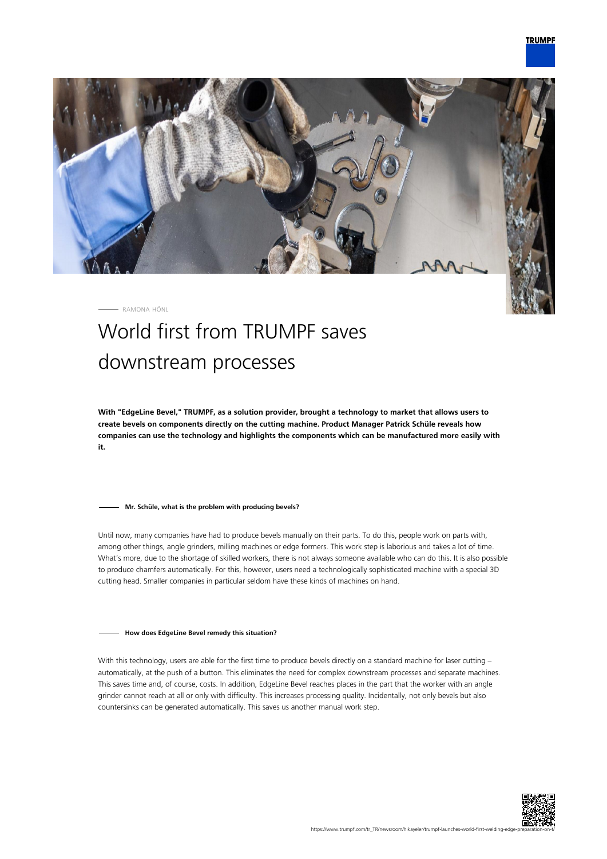

RAMONA HÖNL

# World first from TRUMPF saves downstream processes

**With "EdgeLine Bevel," TRUMPF, as a solution provider, brought a technology to market that allows users to create bevels on components directly on the cutting machine. Product Manager Patrick Schüle reveals how companies can use the technology and highlights the components which can be manufactured more easily with it.**

### **Mr. Schüle, what is the problem with producing bevels?**

Until now, many companies have had to produce bevels manually on their parts. To do this, people work on parts with, among other things, angle grinders, milling machines or edge formers. This work step is laborious and takes a lot of time. What's more, due to the shortage of skilled workers, there is not always someone available who can do this. It is also possible to produce chamfers automatically. For this, however, users need a technologically sophisticated machine with a special 3D cutting head. Smaller companies in particular seldom have these kinds of machines on hand.

#### **How does EdgeLine Bevel remedy this situation?**

With this technology, users are able for the first time to produce bevels directly on a standard machine for laser cutting automatically, at the push of a button. This eliminates the need for complex downstream processes and separate machines. This saves time and, of course, costs. In addition, EdgeLine Bevel reaches places in the part that the worker with an angle grinder cannot reach at all or only with difficulty. This increases processing quality. Incidentally, not only bevels but also countersinks can be generated automatically. This saves us another manual work step.

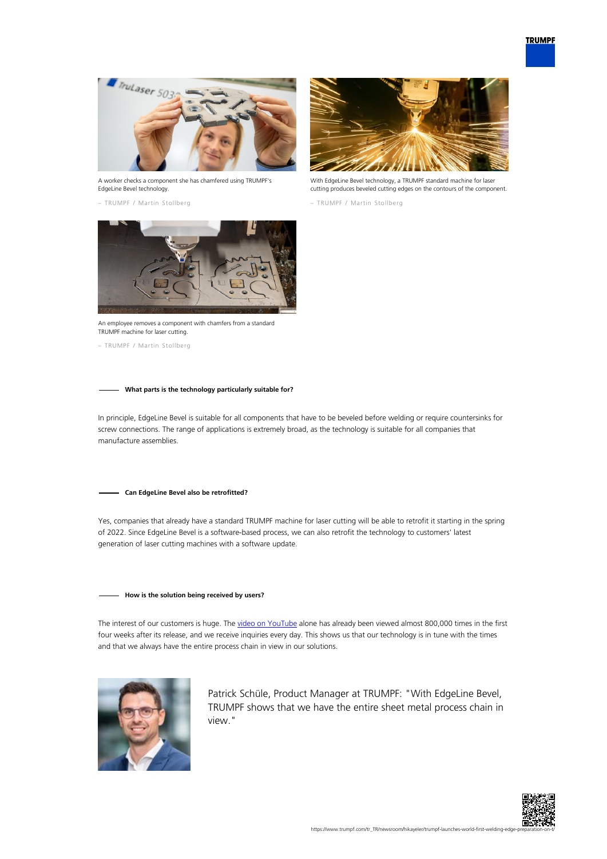

A worker checks a component she has chamfered using TRUMPF's EdgeLine Bevel technology.

– TRUMPF / Martin Stollberg



With EdgeLine Bevel technology, a TRUMPF standard machine for laser cutting produces beveled cutting edges on the contours of the component.

– TRUMPF / Martin Stollberg



An employee removes a component with chamfers from a standard TRUMPF machine for laser cutting.

– TRUMPF / Martin Stollberg

## **What parts is the technology particularly suitable for?**

In principle, EdgeLine Bevel is suitable for all components that have to be beveled before welding or require countersinks for screw connections. The range of applications is extremely broad, as the technology is suitable for all companies that manufacture assemblies.

#### **Can EdgeLine Bevel also be retrofitted?**

Yes, companies that already have a standard TRUMPF machine for laser cutting will be able to retrofit it starting in the spring of 2022. Since EdgeLine Bevel is a software-based process, we can also retrofit the technology to customers' latest generation of laser cutting machines with a software update.

## **How is the solution being received by users?**

The interest of our customers is huge. The [video on YouTube](https://www.youtube.com/watch?v=wjYai1xAQek) alone has already been viewed almost 800,000 times in the first four weeks after its release, and we receive inquiries every day. This shows us that our technology is in tune with the times and that we always have the entire process chain in view in our solutions.



Patrick Schüle, Product Manager at TRUMPF: "With EdgeLine Bevel, TRUMPF shows that we have the entire sheet metal process chain in view."